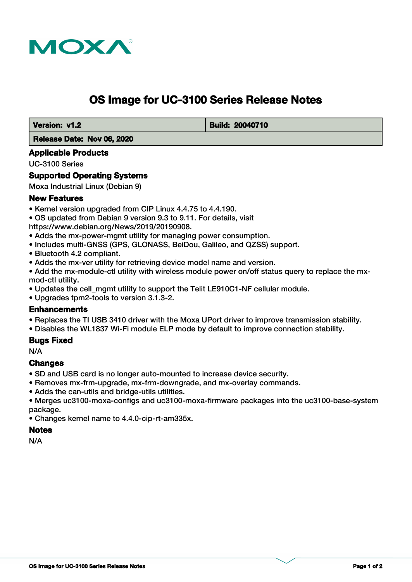

# **OS Image for UC-3100 Series Release Notes**

 **Version: v1.2 Build: 20040710** 

### **Release Date: Nov 06, 2020**

### **Applicable Products**

UC-3100 Series

# **Supported Operating Systems**

Moxa Industrial Linux (Debian 9)

## **New Features**

- Kernel version upgraded from CIP Linux 4.4.75 to 4.4.190.
- OS updated from Debian 9 version 9.3 to 9.11. For details, visit

https://www.debian.org/News/2019/20190908.

- Adds the mx-power-mgmt utility for managing power consumption.
- Includes multi-GNSS (GPS, GLONASS, BeiDou, Galileo, and QZSS) support.
- Bluetooth 4.2 compliant.
- Adds the mx-ver utility for retrieving device model name and version.
- Add the mx-module-ctl utility with wireless module power on/off status query to replace the mxmod-ctl utility.
- Updates the cell mgmt utility to support the Telit LE910C1-NF cellular module.
- Upgrades tpm2-tools to version 3.1.3-2.

### **Enhancements**

- Replaces the TI USB 3410 driver with the Moxa UPort driver to improve transmission stability.
- Disables the WL1837 Wi-Fi module ELP mode by default to improve connection stability.

### **Bugs Fixed**

N/A

### **Changes**

- SD and USB card is no longer auto-mounted to increase device security.
- Removes mx-frm-upgrade, mx-frm-downgrade, and mx-overlay commands.
- Adds the can-utils and bridge-utils utilities.

• Merges uc3100-moxa-configs and uc3100-moxa-firmware packages into the uc3100-base-system package.

• Changes kernel name to 4.4.0-cip-rt-am335x.

# **Notes**

N/A